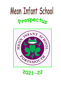# Meon Infant School prospectus



2021-22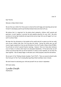June '21

Dear Parents,

Welcome to Meon Infant School.

We aim that your child's first three years in school will be both happy and rewarding and we look forward to developing a positive partnership between home and school with you.

We believe that it is important for the whole school community, children, staff, parents and governors, to work together to provide the best possible education for your child. We pride ourselves on having high standards and expectations and we hope that you will support us in our work to achieve these.

We hope that the information in this booklet will be useful and will re-assure you that we really care as your children take their first big step into school. During the school year you will receive regular newsletters from me and information from the Friends of Meon School (FOMS). You will also be invited to parent/teacher meetings. However, there are times when instances occur at home or in school, which need to be discussed immediately. If the need arises, we will contact you and we hope that you will not hesitate to contact us and, hopefully, we can solve the issue together. We are always happy to talk about your child's progress, education and welfare.

We are part of the Thinking Schools Academy Trust (TSAT). There are several schools locally that form part of this Trust including Moorings Ways Infant and Meon Junior Schools.

We look forward to welcoming your child and yourself into our school in September.

With best wishes,

*Lynda Daish*

Headteacher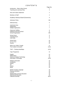| 171 L 17                                                                                                                                                           | Page No.                                           |
|--------------------------------------------------------------------------------------------------------------------------------------------------------------------|----------------------------------------------------|
| Introduction - Meon Infant School<br><b>Teaching and Learning Policy</b>                                                                                           | 1                                                  |
| Aims and Values Statement                                                                                                                                          | 2                                                  |
| <b>Members of Staff</b>                                                                                                                                            | 3                                                  |
| <b>Academy Advisory Board (Governors)</b>                                                                                                                          | 4                                                  |
| <b>Admission Policy</b>                                                                                                                                            | 5/6                                                |
| <b>Deferred Entry</b>                                                                                                                                              | 6                                                  |
| <b>Catchment Area</b><br>Registration<br><b>Multiple Applications</b>                                                                                              | $\overline{7}$<br>$\overline{7}$<br>$\overline{7}$ |
| <b>Classroom Staffing</b><br>Getting to know the School<br><b>School Organisation</b>                                                                              | 8<br>8<br>8/9                                      |
| <b>School Hours</b><br><b>Teaching Hours</b><br><b>Inset Days</b>                                                                                                  | 9<br>9<br>9                                        |
| <b>School Aims</b><br>O.F.S.T.E.D.<br>Awards                                                                                                                       | 10<br>10<br>10                                     |
| What Your Child is Taught<br>The Creative Curriculum                                                                                                               | 11<br>11/12                                        |
| <b>TSAT – Thinking Hats/Maps</b>                                                                                                                                   | 12/13                                              |
| Topic Programme                                                                                                                                                    | 13                                                 |
| English<br><b>Mathematics</b><br>Science & Design Technology<br><b>Information Technology</b>                                                                      | 14<br>14<br>14<br>14/15                            |
| <b>Religious Education</b><br>Geography<br>History<br>Art<br>Drama<br><b>Music</b>                                                                                 | 15<br>15<br>15<br>15<br>15<br>15                   |
| Modern Foreign Language<br><b>Physical Education</b><br>P.S.H.E.<br>Relationships and Sex Education<br><b>Multicultural Education</b><br><b>Collective Worship</b> | 16<br>16<br>16<br>16<br>16<br>16/17                |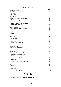### C O N T E N T S

|                                             | Page No. |
|---------------------------------------------|----------|
| <b>Gifted and Talented</b>                  | 17       |
| <b>Special Educational Needs</b>            | 17       |
| Homework                                    | 17       |
| <b>Early Years</b>                          | 17       |
| <b>Record of Achievement</b>                | 18       |
| <b>National Curriculum Results (SATs)</b>   | 18       |
| Cooking                                     | 18       |
| Meet the Teacher Sessions                   | 18       |
| <b>Parental Access to Child's Records</b>   | 19       |
| Pastoral Care/Discipline                    | 19       |
| <b>Children's Safety</b>                    | 20       |
| <b>Child Protection/Safeguarding Policy</b> | 20       |
| Cloakrooms                                  | 20       |
| Valuables                                   | 20       |
| Uniform                                     | 21       |
| <b>Meals</b>                                | 21       |
| <b>School Milk</b>                          | 21       |
| <b>Fruit Scheme</b>                         | 22       |
| Water                                       | 22       |
| <b>School Visits</b>                        | 22       |
| <b>Charges for School Activities</b>        | 22       |
| Insurance                                   | 23       |
| <b>School Medicals</b>                      | 23       |
| In case of illness/accident                 | 23       |
| <b>Medicines</b>                            | 23       |
| <b>Head Lice</b>                            | 24       |
| Attendance/Absence from School              | 24       |
| Authorised/Unauthorised Absence             | 24       |
| Holidays                                    | 24/25    |
| <b>After School Activities/Care</b>         | 25       |
| <b>Parental Help</b>                        | 25       |
| Friends Of Meon School (F.O.M.S.)           | 26       |
| <b>School Website</b>                       | 26       |
| My Ed                                       | 26       |
| Seesaw                                      | 26       |
| Conclusion                                  | 27       |
| Additional Information for Admission        | 28-30    |

#### APPENDICES

Term and School Holiday Dates 2021-2022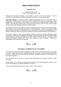## **Meon Infant School**

#### **September 2021**

#### Maximum capacity 180 Present Total Number on Roll: **178**

Although the information contained in this booklet is correct at the time of printing, it may be necessary to make changes or additions during the school year, or in subsequent years.

**Meon Infant School** is a mixed day school for children aged between 4+ and 7+ in the Milton area of Portsmouth. Children remain at the school until the Summer Term after they attain their seventh birthday when they transfer to a junior school. The majority of the children transfer to Meon Junior School. We make every effort to ensure continuity of the curriculum with the junior school by visits and discussions with colleagues before the children transfer.

Our teaching is far more meaningful if we have your support and if you are ever concerned about your child, please do come and see the class teacher or the Headteacher. Teachers are usually available before or after school and an appointment to see either the class teacher or the Headteacher is not always necessary but may save you time as teachers have after-school meetings and commitments.

We want the children to have a good academic education as well as to develop spiritually, morally and socially. Children are encouraged to participate co-operatively with their peers and demonstrate a high standard of courtesy and behaviour to other children, staff and visitors. We foster a good attitude and standard towards work, which gives children a sense of purpose. Children are encouraged to work using their own initiative.



#### **TEACHING & LEARNING POLICY STATEMENT**

The curriculum focuses on creative development, giving children the opportunity to gain knowledge and skills. English and Maths are integrated across the curriculum as well as being taught in their own right. Pupils are given tasks that are motivating and ability matched with the emphasis on learning independence.

The commitment of the school is to provide equal opportunities for all pupils through the whole curriculum.

Further details of the teaching & learning policy and other curriculum/management policies at the school are available on our school's website or on request.

There is more information about the curriculum further on in this booklet.

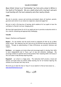#### **VALUES STATEMENT**

Meon Infant School is an "Outstanding" two form entry school in Milton in the South of Portsmouth. We are a small school with a big heart and work in partnership with the local community and other nearby schools.

#### **AIMS**:

We aim to provide a secure and nurturing environment where all teachers, parents, governors and visitors to our school are respected, valued and supported.

We aim to instil a life-long love of learning, which enables all of our pupils to have the confidence to flourish in an ever changing world.

We have high expectations for all of our pupils and aim to provide an education which is fun, creative, stimulating and appropriately challenging.

#### **VALUES**:

Respect, Resilience and Enjoyment.

**Respect** - for one another and the world around us underpins all that we do at Meon Infant School. We celebrate the fact that we are all different and may hold different beliefs. Through an understanding of these differences, we promote tolerance and respect.

**Resilience** - our engaging curriculum allows and encourages pupils to develop their skills to learn independently and to "have a go" at new and unfamiliar challenges. We encourage children to question and actively promote their reasoning skills in all areas of the curriculum to help develop enquiring minds.

**Enjoyment** - our school is a happy place. The dedicated staff provide a broad and diverse curriculum which we believe makes learning fun for all involved inspiring the children to be the best that they can be.

We invite you to take the time to "drop in" on our website to find out more about us....... [www.meoninfantschool.org.uk](http://www.meoninfantschool.org.uk/) 

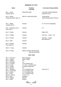#### **MEMBERS OF STAFF**

## **Teaching**

**Name Position Curriculum Responsibility**

Mrs. L. Daish Retiring July 21

Mrs. K. Morey

Mrs. L. Bailey Leaving July 21

Until July 21

Mrs. J. McIlvaney (Cox)

Acting Head from Sept. 21 DEPUTY HEADTEACHER Thinking lead

**Teacher** 

HEADTEACHER P.M./Able Child/CPD/PSHE/ Student Council

Science/Assessment /Phonics

Teacher E.Y./P.S.H.E./Geography

Teacher D.T.

Mrs. P. Greed **Teacher** Teacher Maths./R.E.

Mrs. K. Phillips Teacher Teacher Part time – 3 days P.E.

Mrs. A. Priston **Teacher Part time – 3 days** MFL/Music/ICT –

Mrs. K. Reid **Teacher** 

Mrs. A. Rogers From Sept. 21

Miss C. Young Teacher

Mrs. R. Thripp SENCO (shared with Moorings Way Infant School)

#### **Other Staff**

| Mrs. A. Simmons    |
|--------------------|
| Mrs. J. Loader     |
| Mrs. A. Balsom     |
| Mrs. D. Cheshire   |
| Mrs. S. Conway     |
| Mrs. D. Craig      |
| Mrs. K. Ferrett    |
| Mrs. D. Mundy      |
| Mrs. T. Redman     |
| Mrs. D. Somerville |
| Mrs. S. Sykes      |
| Mrs. J. Terry      |
| Miss M. Tomney     |
| Mrs. E. Bird       |
| Mrs. E. Balogh     |
| Mrs. A. Miah       |

Admin. Officer T.A. T.A. T.A/Lunchtime Sup. T.A./ Snr. Lunchtime Sup. Lunchtime Supervisor T.A. T.A./ Lunchtime Sup. Until July '21 T.A./Lunchtime Sup. T.A./ Lunchtime Sup. T.A./ Lunchtime Sup.  $T.A./H.L.T.A.$ Caretaker Cleaner Cleaner

**Office Manager** 

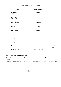#### **ACADEMY ADVISORY BOARD**

| <b>Name</b>                              | <b>Representation</b>     |                  |
|------------------------------------------|---------------------------|------------------|
| Ms. N. Shore<br><b>CHAIR</b>             | Community                 |                  |
| Mrs. L. Gatrell<br><b>VICE CHAIR</b>     | Parent                    |                  |
| Mrs. V. Boscaro                          | Community                 |                  |
| Mrs. Cox                                 | <b>Staff</b>              |                  |
| Mrs. K. Barrett                          | Community                 |                  |
| Mrs. J. Loader                           | <b>Staff</b>              |                  |
| Vacancy                                  | Parent                    |                  |
| Vacancy                                  | Parent                    |                  |
| Mrs. L. Daish                            | Headteacher               | Until July<br>21 |
| Mrs. A. Simmons<br><b>Office Manager</b> | <b>Clerk to Governors</b> |                  |

Governors can be contacted via the school.

Confidentially addressed communication will be passed on to the appropriate Governors as soon as possible.

The Advisory Board meets once every term and in addition Governor committees meet on a regular basis.

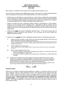#### **MEON INFANT SCHOOL SCHOOL ADMISSIONS POLICY 2021-2022**

Meon Infant is an Academy School and part of the Thinking Schools Academy Trust.

The school has an admission limit of **60** reception places. If the school is oversubscribed applications will be considered first according to the following priorities in the order set out below :

- 1. Children who are looked after by a local authority (i.e. in their care or provided with accommodation by the authority for a continuous period of more than 24hrs). Children who were previously looked after but immediately following being looked after became subject to an adoption order, residence or special guardianship order. (Please see additional information below).
- 2. Children or families who have a significant medical, physical or psychological or social condition. Evidence must be attached with the application form. Applications under this criterion must be supported by written evidence from an appropriate professional involved stating clearly why the preferred school is the most appropriate for the child and reasons why other schools in the city are inappropriate.
- 3. Children living **within** the school's designated catchment area. (If the school cannot admit all applications from the catchment area, priorities 4 (i) to (iii) below will be used). (Please see additional information below).
- 4. Children who live **outside** the school's designated catchment areas in the following priority order
	- (i) children who have a brother or sister (living in the same household) already on roll and who will still be attending the school the following academic year. *(NOTE – this category includes step-brothers/sisters, adoptive brothers/sisters living within the same household or children whose parents are married or cohabiting and live together within the same household.)* (Please see additional information below).
	- (ii) children eligible for service premium *(Note – service premium is paid to eligible children of armed services personnel under S14 of the Education Act 2002)*
	- (iii) children of staff employed at the school
		- a. where the member of staff has been employed at the school for 2 or more year at the time at which the application is made and or
		- b. the member of staff is recruited to fill a vacant post for which there is a demonstrable skill shortage.
	- (iv) children who live closest to the school, based on the shortest distance from home to school, measured on a straight line "**as the crow flies**" (this distance will be used where necessary to prioritise applications. Should there be two or more identical distances requiring prioritisation, this will be done by casting lots. (please see additional information below). *(Note: should a school be oversubscribed from within the criteria 4(i) to 4(iii) above then any additional criteria as given in 4(i) to 4(iii) above will be used to prioritise applications within these categories.*



#### **Displaced sibling:**

Where the LA is unable to meet the parental preference in relation to a catchment school, the LA will have to allocate a place at a lower preference school or even allocate the next nearest school with places available. Parents may prefer to then try and get a place for another sibling in the same school. In such instances, this school could then be treated as the catchment school for subsequent sibling applications. **Parents would have to notify the LA on application that they consider this exception applies.** If the application was for the actual catchment school this criterion would still be applied. This would be applicable to Portsmouth Schools who have catchment criterion as part of their admissions policy.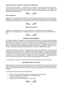#### **Pupils with statutory education, health and care (EHC) plan:**

The Admissions code states… "*all children whose statement of special educational need (SEN) or Education Health and Care (EHC) plan names the school must be admitted".* These children will have priority for admission over and above all other admission applications and will be included in the admissions allocation process.



#### **Other Applications**:

Applications can be made for the school for any year group at any time of the year. These are in year applications. All applications will be processed by Portsmouth City Council. If places are available in the child's particular year group, the Admission Service at PCC will notify both the school and parents.



**APPLICATION DATES**

Applications can be made on-line or in paper format from 1<sup>st</sup> November of the year preceding admission. The closing date is 15<sup>th</sup> January and all on time applications will be considered after this date.



#### **ADMISSION ARRANGEMENTS**

The statutory position is that parents do not have to send their child to school until the term following their child's  $5<sup>th</sup>$  birthday. However, most Portsmouth community and controlled infant and primary schools admit Year R pupils on to the school roll before the end of September, in the school year in which the child has his/her  $5<sup>th</sup>$  birthday. The school year starts on  $1<sup>st</sup>$  September and ends on  $31<sup>st</sup>$ August. Children will start part-time initially (part time is up to 5 sessions a week). There is no school for new entry children during the first week of the term as teachers undertake "home visits".

Children whose birthday is between 1<sup>st</sup> September and 31<sup>st</sup> December will become full time during the first three weeks of the Autumn Term. Children whose birthday is between 1<sup>st</sup> January and 30th April will become full time during the first 4 weeks of the Autumn term Children whose birthday is between 1<sup>st</sup> May and 31<sup>st</sup> August will be full time during the first 5 weeks of the Autumn Term (depending on start date we aim to have all children in full time by the end of September). A programme will be issued to parents well in advance of the start dates outlining attendance requirements.

The Headteacher reserves the right to modify the above arrangements for individual children.

#### **DEFERRED ENTRY INTO YEAR R**

Where parents do not wish to take the opportunity for early admission they may defer entry of their child to the beginning of either the spring or summer term. Entry cannot be deferred beyond the beginning of the term after the child's 5<sup>th</sup> birthday, nor beyond the academic year for which admission is sought.

It is expected that before being admitted children will:

- be able to use the toilet independently (and usually be dry during the day)
- have some independence in dressing and feeding themselves
- be able to communicate their needs
- be able to cope with the demands of a school setting

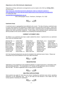#### **Objections to the OSA (Schools Adjudicator)**

Objections to these admissions arrangements can be made to the OSA by **15 May 2021**  see link below

[https://www.gov.uk/guidance/schools-adjudicator-make-an-objection-appeal-or](https://www.gov.uk/guidance/schools-adjudicator-make-an-objection-appeal-or-referral#objections-to-and-referrals-about-determined-school-admission-arrangements)[referral#objections-to-and-referrals-about-determined-school-admission-arrangements](https://www.gov.uk/guidance/schools-adjudicator-make-an-objection-appeal-or-referral#objections-to-and-referrals-about-determined-school-admission-arrangements) or contact the OSA

[osa.team@schoolsadjudicator.gov.uk](mailto:osa.team@schoolsadjudicator.gov.uk)

OSA, Bishopsgate House, Feethams, Darlington, DL1 5QE



#### **Catchment Areas**

A catchment area is a geographical area defined by the council. The idea of having a catchment area is to give some priority for the admission of children living in the local area of the school. Living in the catchment area does not guarantee a place at the school. Catchment areas are determined by home address (the child's permanent residence). Further details of the individual school's catchment area will be provided on the council's website or by contacting the Admissions Service.

#### **CURRENT CATCHMENT AREA**

All children in our catchment area have a right to attend the school. In general terms our catchment area covers the following roads:

| Admirals Hse. 1-21     | Cr  |
|------------------------|-----|
| <b>Bertie Road</b>     | Cr  |
| <b>Blendworth Road</b> | Dio |
| <b>Bonchurch Road</b>  | Dy  |
| <b>Broom Close</b>     | Ed  |
| <b>Broom Square</b>    | Eu  |
| <b>Catisfield Road</b> | Fa  |
| <b>Cheriton Road</b>   | Fu  |
| <b>Church View</b>     | Gis |
|                        |     |

Locksway Road irze Lane 1982 - Milton Locks 1985 - Shelford Road<br>Sors Road 1-103 - Milton Park Ave. 1986 - Stowe Road Sors Road 1-103 Milton Park Ave.

ofton Road Hollam Road Milton Road 199-295 Towpath Mead<br>omartv Ave. Ironbridge Lane 1-7 Morgan Road Trevis Road omarty Ave. Ironbridge Lane 1-7 Morgan Road Trevis Road<br>ckens Hse. Lockswav Road Oakdene Road Velder Avenue 1-50 lgeware Road Mayles Road Posbrooke Road Waterlock Gardens Broom Square Euston Road Meon Road Rosetta Road Weston Avenue ir Oak Road Meryl Road Seaway Crescent

Bonchurch Road Dymond Hse.1-33 Longshore Way Pleasant Road Warren Avenue 1-85

N.B. New housing developments may also be included in the catchment area in future. Please see Portsmouth City Council website for more up to date information.



#### **REGISTRATION**

Applications can be registered on-line (preferred method) or in paper format from 1<sup>st</sup> November of the year preceding admission. The closing date is 15<sup>th</sup> January and all applications will be considered after this date. The date of application does not give priority to admission.

 $AC$ 

**MULTIPLE APPLICATIONS**

Some parents may apply for more than one school, including the catchment area school, specifying preference on the registration form. The LA will make the final decision in this matter and may contact parents if necessary for clarification.

 $\mathcal{E}(\mathcal{G})$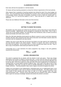#### **CLASSROOM STAFFING**

Each class will have the equivalent to 1 full time teacher.

YR classes will have teaching assistants to at least the minimum requirements of the local authority.

Other classes have a proportion of teaching assistant time during the week if the school budget can fund it. The Trust would aim that this assistant time is at least 1 hour a day but priority would be given to the younger classes if this were not possible. At present 21 hours a week are covered with T.A. support in Years 1 & 2 and full time support in Year R. There may also be 1:1 support staff in the classroom.

Please also see Additional Information at the end of this brochure.



#### **GETTING TO KNOW THE SCHOOL**

All reception new entry parents are invited into the school for a visit so they know as much about the school as possible. Appointments can be arranged by contacting the school office. There is also a 'virtual' tour on the school's website. The child will also have introductory visits so he/she can feel as relaxed and familiar with his/her start to school.

When the child starts attending school parents are offered a session to come in and share classroom activities with their child. During this time there will be discussion and information sessions about the curriculum with the Headteacher and class teacher.

Children may stay to lunch after they are full time (according to the date stated by the Headteacher) and have become settled in the school situation. Parents, on request, may come in and see how lunch times are organised. The hot meals menu is on view to parents each week in the hall. There is also a copy on the parents' notice board just inside the main door.

Unfortunately due to covid restrictions the above programme may change in line with guidelines issued by the Government.



#### **SCHOOL ORGANISATION**

The school is organised into six classes, with two classes in each year group. These may change depending on the number of children in school each year. In every class the main aim of the teacher is to cater for the needs of the individual child, including those who may have learning difficulties and for the very able. Some time is spent as a class, but most of the work is organised on a small group or individual basis, as young children develop at different rates. Each child is then able to work to their own ability/pace. Class sizes are kept as small as possible depending on demand for places and budget restrictions. Teaching assistant's help is also a regular occurrence throughout the school.

Children are encouraged to work independently; undertaking tasks set on a daily/weekly basis, to aid motivation giving desire to learn and an interest to develop educationally. This helps pupils to have more control of their learning and trains them for later on in their education when they have project/examination work. Teachers ensure that pupils have the assistance they need to complete tasks to gain the necessary knowledge/ standard and achieve the school's curriculum.

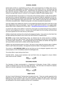#### **SCHOOL HOURS**

School starts at 8.50 a.m. and finishes at 3.20 p.m. with a lunch break from 12 midday until 1.10 p.m. We cannot accept responsibility for children arriving at school before 8.40 a.m. and would ask that your child does not arrive before this time. Parents/carers are requested to stay with their child until they enter the classroom. Children who go home to lunch should not return before 1.10 p.m. The school is not open after 5.00 p.m. (4.30 p.m. on a Friday) for children to collect forgotten items.

The school bell will be rung at 8.50 a.m. for the start of the morning session in order that all children may have time to hang up coats/bags etc. and be in the classroom ready for registration at 8.55 a.m. We ask that parents do not remain in the school after this time in order that the teacher may begin the session on time. Registration takes place from 8.55 – 9.05. Children arriving after this time but before 9.15 will be recorded as late. Children arriving after 9.15 will be recorded as unauthorized.

Once the children have settled into school it is encouraged that parents leave them at the door so that their independence may be encouraged. If you wish to speak with the teacher on an urgent matter please either email or telephone the school office – [office@meoninfantschool.org.uk](mailto:office@meoninfantschool.org.uk) or 03333602170.

To improve the safety of the children in school the school gates are locked during the day (Locked at 9.00 a.m. and re-opened at 3.10 p.m.). Access to the school (apart from the morning, and home time) can only be gained from the main door by a bell system.

Children should enter and leave the school by the playground gates. If you arrive at school later than the gate opening times please come round to the main entrance in Shelford Road.

**NO DOGS**, except Guide Dogs/Therapy Dogs, are allowed into the school grounds or buildings. Please do not walk your dog to school. They are also not permitted to be tied up on school property e.g. fencing, gates, entrance etc. You will appreciate that not all children are familiar with dogs and it can cause stress at times both to children and the dogs themselves.

Children may ride bicycles/scooters to school. We have an area inside the entrance gate in Shelford Road to "park" bikes and scooters. No equipment should be ridden in the playground at any time.

The school is a **NO SMOKING AREA** and we ask that you do not extinguish cigarette ends on the school property or even immediately outside the building/grounds.

The school office is open during school hours.

PLEASE NOTE: During Covid restrictions start and finish times are staggered to ensure children enter school into their "bubbles".

 $\mathbb{C}$  and  $\mathbb{C}$ 

**TEACHING HOURS**

The Secretary of State recommended in a Department of Education Circular (7/90) a minimum number of teaching hours for each Key Stage age group. This time does not include the statutory daily act of worship, registration, the lunch break or playtimes.

 $\mathcal{X}\subseteq \mathscr{D}$ 

#### **INSET DAYS**

We have 5 Inset (Professional Training) days throughout the year. These are usually organized at the beginning of the new academic year and, where possible, coincide with Meon Junior School and Moorings Way Infant School to make it easier for parents with children in both schools. These dates are advertised on the school's website and sent out in newsletters.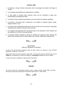- 1. To develop a caring, friendly environment which encourages the positive self-image of children.
- 2. To encourage responsibility and independence in children.
- 3. To help pupils to develop lively inquiring minds and be motivated to apply their understanding, knowledge and skills.
- 4. To provide a broad, balanced and relevant curriculum within the statutory guidelines.
- 5. To provide a community that is responsive to all children of whatever gender, ability, religious beliefs or race.
- 6. To develop wider relationships between the school and the local community to help pupils understand and respect the world in which they live.
- 7. To recognise and appreciate the role parents play in the education of their children and the importance of a home school partnership.
- 8. To promote Healthy Lifestyles by giving the children the necessary skills, attitude and values that encourage them to lead a happy, safe, healthy, fulfilled and productive life.



#### **O.F.S.T.E.D.** (Office for Standards in Education)

As part of the Government's Education Policy all state schools are required to have OFSTED inspections, usually on a 3 year rota.

Meon Infant School was last inspected in May 2009. We feel proud that the OFSTED team, for the **THIRD** time, recognised our school as providing an "**outstanding**" education for all our children.

A copy of the report is available on request at the school office.

 $AC$ 

#### **AWARDS**

We have received the International Schools Award, Healthy Schools Quality Mark and QES -Portsmouth Community Improvement Partnerships Award and P.E. Silver Award.

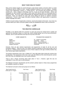#### **WHAT YOUR CHILD IS TAUGHT**

Many of the subjects taught are covered through a topic-based creative curriculum which is a lively and effective way for children to learn. Greater emphasis is placed on the core subjects – Reading, Literacy work, Mathematics, Science, I.T. PSHE and R.E. The curriculum also includes work on the creative arts – Music, Design & Technology and P.E. to give an all round education. History and Geography are also included in the topics to add variety and interest which is a stimulating way for children to learn. All of your child's achievements are measured using the 2014 national curriculum framework. Topics are planned for each year group taking full account of national curriculum requirements. French is also taught informally to provide children with opportunities to experience another language and culture.

Children are given plenty of opportunity to observe, record and evaluate at first hand. If you have any concerns about your child's curriculum please contact the Headteacher and/or Chair of Governors.



#### **THE CREATIVE CURRICULUM**

Flexibility is now allowed within the curriculum so each year group has worked hard to update and approach the teaching of topics in a fresh way, which includes greater use of the local environment. However, due to covid restrictions local trips are very few at this time.

#### CORE SUBJECTS FOUNDATION SUBJECTS

**Mathematics** Religious Education **PSHE/RSE** 

English **English** Art, Design & Technology, Mathematics and Art Art, Design & Technology, Science **Music, Physical Education Music, Physical Education** Information Technology Modern Language (from Year 7)

However, there are also national requirements and programmes of study for all the core and foundation subjects. These are what the children should be expected to know and be able to do at the age of 7. Children will be assessed for some of these subjects at this age to identify whether they have reached age related expectations.

The teacher assessment of the Year 2 children (6-7 year olds) takes place during the summer term (usually May). The assessment of the Year 2 (6-7 year old children) at the school during the summer term 2021 was not undertaken due to the covid19 lockdown.

There is also a Phonic Screening which takes place in Year 1. However, again this was not undertaken in June 2021 due to covid lockdown.

The National Curriculum requirements and the school's policies based on these study programmes are available to parents on request.

The National Curriculum school year groups are as follows:

| Age of pupil at end of<br>school year 31st August | Year Group                   | Age of pupil at end of<br>school year 31 <sup>st</sup> August | Year Group    |
|---------------------------------------------------|------------------------------|---------------------------------------------------------------|---------------|
| 5                                                 | Foundation Stage (EYFS) (YR) | 12                                                            | Year $7 (Y7)$ |
| 6                                                 | Year 1 $(Y1)$                | 13                                                            | Year $8$ (Y8) |
|                                                   | Year $2 \quad (Y2)$          | 14                                                            | Year $9$ (Y9) |
| 8                                                 | Year $3$ (Y3)                | 15                                                            | Year 10 (Y10) |
| 9                                                 | Year 4 (Y4)                  | 16                                                            | Year 11 (Y11) |
| 10                                                | Year $5$ (Y5)                | 17                                                            | Year 12 (Y12) |
|                                                   | (Y6)<br>Year 6               | 18                                                            | Year 13 (Y13) |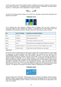A new entry child is part of EYFS whether he/she is admitted in the Autumn, Spring or Summer term of the current school year. Immediately after the summer holidays in September, all these children become Y1. School years run from September to August inclusively.



As part of the Thinking Schools Academy Trust (TSAT) we undertake to promote their philosophy and approach to education:

#### **THINKING HATS**



The 6 Thinking Hats each represent a different type of Thinking. They are used in lessons to encourage children to think carefully and critically – encouraging them to think beyond their own perspectives and holistically respond to situations rather than only using one type of thinking.

| <b>Hat</b>   | <b>Type of Thinking</b> | <b>Questions to stimulate thinking</b>                   |
|--------------|-------------------------|----------------------------------------------------------|
| Red          | Emotions                | How does that make you feel?                             |
| Yellow       | <b>Positives</b>        | What is good and why?                                    |
| <b>Black</b> | Limitations             | What might a limitation be and why?                      |
| White        | Facts                   | What are the facts we already know? What do we not know? |
| Green        | Solutions/Creativity    | How might we solve that? What strategies have we got?    |
| Blue         | Process control         | Where have we been? What are our next steps?             |

Applications:

Across the Trust the Thinking Hats are often used to support peer and self-assessment. They provide the opportunity to develop reflective and flexible thinkers who carefully look for solutions, whilst acknowledging positives, limitations, facts and emotions. Because of this Hats also weave an important thread through the pastoral curriculum and provide a clear and structured framework to discuss thoughts and feelings, e.g. by working through a 6 Hat analysis and reflecting from the different perspectives children can gain a deeper understanding of how their behavior impacts others and begin to rationalize their emotions in a non-destructive manner. They also provide a flexible approach to discussions as there are no rules regarding the order the children use the Hats or which they choose to omit or revisit. This means that children can guide their own analysis leaving no stone unturned. The approach in this sense can improve children's independence and confidence

#### **THINKING MAPS**



Hyerle and Alper (2011) state that: '*Thinking Maps serve as a device for mediating, thinking, listening, speaking, readign, writing, problem solving and acquiring new knowledge'* and for our Trust schools these visual representations provide a method to communicate the thinking that is taking place in the hears of our children.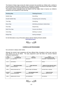The infusion of these maps across the whole curriculum has provided our children with a method to sort and present information, providing a rich vocabulary to express and discuss their ideas in relation to the content they are learning about and their underlying thinking.

The shared common language across all subjects and key stages helps to improve our children's confidence and competence in their learning.

| <b>Thinking Map</b> | <b>Thinking Process</b>              |
|---------------------|--------------------------------------|
| <b>Bubble Map</b>   | Describing                           |
| Double Bubble Map   | Comparing and contrasting            |
| <b>Tree Map</b>     | Classifying                          |
| <b>Brace Map</b>    | Identifying whole/part relationships |
| Flow Map            | Sequencing                           |
| Multi-Flow Map      | Causes and effects                   |
| Circle Map          | Defining in context                  |
| <b>Bridge Map</b>   | Seeing analogies                     |

For full information on any of the above please visit the Thinking Schools website: [www.tsatrust.org.uk](http://www.tsatrust.org.uk/)



#### **CURRICULUM PROGRAMME**

Our curriculum is always under review.

Although the school's topic programme will have different titles, throughout a three year cycle the main themes are set out below. The topic programme cycle fully takes into account National Curriculum requirements.

| TERM          | <b>YEAR R</b>           | YEAR 1                          | YEAR 2                              |
|---------------|-------------------------|---------------------------------|-------------------------------------|
| <b>AUTUMN</b> | <b>LET'S EXPLORE</b>    | THIS IS ME                      | <b>JUMPING BACK IN TIME</b>         |
| AUT. 1        | ALL ABOUT ME            | WHO AM I?                       | DINOSAUR - LAND BEFORE TIME         |
| AUT. 2        | <b>OUR WORLD</b>        | WHO ARE WE?                     | <b>SPACE</b>                        |
| <b>SPRING</b> | <b>MEGASTRUCTURES</b>   | <b>LONG LONG AGO</b>            | <b>MIXED UP TALES AND SET SAILS</b> |
| SPR. 1        | <b>GRAND DESIGNS</b>    | <b>FAIRY TALES</b>              | MIXED UP TRADITIONAL TALES          |
| SPR. 2        | PEOPLE WHO HELP US      | <b>BACK IN TIME -VICTORIANS</b> | LETS SET SAIL - NELSON              |
| <b>SUMMER</b> | <b>ALL AROUND US</b>    | <b>OUR AMAZING PLANET</b>       | <b>CIRCLE OF LIFE</b>               |
| SUM.1         | <b>PLANTS AND SEEDS</b> | <b>SAVE OUR PLANET</b>          | KENYA - CIRCLE OF LIFE              |
| SUM. 2        | ANIMALS/LIFE CYCLES     | <b>ECO WARRIORS</b>             | THE CIRCUS                          |

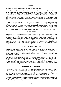#### **ENGLISH**

We aim for our children to become fluent in written and spoken English.

We aim to achieve this by providing a wide variety of learning experiences. This includes daily literacy lessons which encompass the National Curriculum Programmes of Study. Phonics is taught using the Letters and Sounds Programme. Throughout the school children are encouraged to choose books independently. Each classroom has its own designated reading area which includes a wide range of fiction and non-fiction books many of which are linked to current topics. All children have small group reading. These reading books are fully decodable and matched to their ability. Each class is provided with the opportunity to visit the school library to exchange books and develop library skills.

Children are taught handwriting from the time they start school. Formal handwriting sessions are taught throughout the school and children also have plenty of opportunity to develop hand control and form their letters correctly. Joined handwriting is started early in Year 1 using a cursive script. At the end of their final year all children are expected to write a reasonable amount using clear, joined correctly formed handwriting. Links to topics are made with literacy in all year groups to provide children with an interesting and relevant focus to apply their reading, writing and oral literacy skills.

#### **MATHEMATICS**

Mathematics skills are taught and are sometimes integrated into topic work, where appropriate, and the children are encouraged to use those skills across all the curriculum areas in a variety of ways. Children use suitable approaches to enable them to understand the basic principles of mathematics in a practical and meaningful way. The need for basic skills in the application of mathematics in everyday life is stressed so that an understanding of the rules of addition, subtraction, multiplication and division enables use with confidence. These basic rules are often presented in an investigative problem solving way. Children are taught to become fluent in maths through varied and frequent practice and also to be able to reason mathematically.

#### **SCIENCE & DESIGN TECHNOLOGY**

Science stimulates a natural curiosity in young children about their world. We believe that it is important to enable children to actively learn by teaching them the skills they need to find answers to questions so as to increase their scientific knowledge. As they progress we seek to develop their ability to carry out their own independent enquiries and to become confident in expressing and explaining their own views.

Many areas of science are linked with Design Technology allowing children to practically carry out scientific understanding through hands on experience such as designing, making and evaluating. This is done through a mixture of whole class teaching and individual/group activities collaborating with and listening to other children's ideas. They have the opportunity to use a wide range of materials and resources including IT. Children also learn about food – where it comes from and eating healthily and preparing healthy dishes.

#### **INFORMATION TECHNOLOGY**

The Foundation Stage (Year R) Year 1 and Learning Support room all have class based computers. Year 2 classes share a computer suite, which consists of 10 computers. All classes have an Interactive Whiteboard. In addition to all classes, the hall, Music & Drama Room and Reception Area have Interactive Whiteboards. All computers are networked and linked to the Internet and wi-fi. We have laptops tablets and i pads for children's use as well as computers in the IT suite.

The use of digital and video cameras, tablets and recording equipment enables the school to offer a wide range of experiences and activities. In line with the New Curriculum the children have been introduced to simple programming.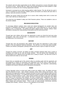The school's web site allows opportunities for the children and parents to access information about the school at home. Internet sites are "vetted" and accessed through the school website or under supervision to minimize the risk of viewing inappropriate materials.

Homework is accessed via an online learning platform called Seesaw. This site will also be used in case of a lockdown for home learning. Children, parents and teacher can interact with each other to produce, mark and comment on activities.

Children can access Oxford Owl and Big Cat to access online reading books both at school and home. Each child has an individual log in.

The school has very detailed E safety and Child Protection policies. These are available to view on the school's website.

#### **RELIGIOUS EDUCATION**

To encourage children's spiritual, moral, social and cultural development we consider ideas and practices in Christianity and Hinduism in accordance with "Living Differences III", the new agreed syllabus in R.E. in Portsmouth. The children will explore religious stories, festivals, artifacts, rituals and beliefs to develop their understanding of themselves and the world around them.

#### **GEOGRAPHY**

Through topic work children will be given the opportunity to study our school the local area using photographs, maps, plans and field work. A comparative study is undertaken to look for similarities and differences in our environment.

#### **HISTORY**

Through topic work and educational visits children will be given the opportunity to study certain periods in time and significant historical individuals. This will link to our local area where possible. Children use artefacts, photographs, paintings and reference books to gain an insight into the past.

#### **ART**

Through the creative curriculum, all children are able to develop individual skills using a variety of techniques and media for art, craft and design activities. This will improve their knowledge and understanding of art in different forms and styles from a variety of cultures. We also look at work of famous artists and create our own art work.

#### **DRAMA**

Drama forms an essential part of the school's ethos by providing pupils with the opportunity and encouragement to explore for themselves and understand more of the world in which they live. Developing spoken language and supporting English and writing. This engenders understanding, confidence and maturity, essential tools for learning and development.

#### **MUSIC**

A Music Specialist comes to school each week to teach the children music. All children will learn about the elements of music – pitch, duration, dynamics, tempo, timbre, texture and structure. They will be given the opportunity to perform, compose and listen to music in many different styles and from different periods and cultures. It is hoped that enjoyment of these activities will help them appreciate and have a continued interest in music. Many musical activities are linked to topic work and support other areas of the curriculum when relevant. We have a purpose built music/drama room which houses a variety of instruments and includes an all-round sound system. Children are also given opportunities to attend other musical activities within the wider community including the Portsmouth Music Festival and community events. There is also an extra-curricular instrumental workshop available (Rock Steady). However, there is a cost implication for this activity.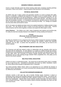#### **MODERN FOREIGN LANGUAGES**

French is taught informally across the school covering useful basic vocabulary including greetings, instructions, colours and numbers. Songs and games keep learning fun and stimulating.

#### **PHYSICAL EDUCATION**

All children take part in dance, games and gymnastics activities at a level to develop their agility, balance, co-ordination, confidence and enjoyment in the tasks as part of a healthy lifestyle. We use large and small apparatus in the hall and playground. Children are expected to change for P.E. into shorts and tee shirts with trainers for games and bare feet for dance and gym. Hair needs to be tied back and all jewellery removed. If, in exceptional circumstances, earrings cannot be removed they will be covered with surgical tape but this is time consuming and fiddly. P.E. kit/bags are available from the school office and should be named.

All P.E. kit needs to be labeled and taken home to be washed (weekends or holiday periods) to keep them fresh. P.E. kits should be kept in school at all times during the school week. External trainers/coaches visit the school regularly to enhance and expand the skills taught in school.

**Active Playtimes** - The children use a wide range of apparatus each playtime and lunchtime play. For safety we need their everyday footwear to be suitable for running, jumping and having fun.

#### **P.S.H.E (Personal, Social and Health Education)**

**(**including Drugs Education)

We follow the JIGSAW P.S.H.E. programme that ensures children develop the necessary knowledge, skills, attitude and values which allow them to develop into confident, resilient and respectful individuals, who are able to achieve their full potential in life. (This policy can be found on the school's website)

#### **RELATIONSHIPS AND SEX EDUCATION**

The Governors and staff have agreed a policy on relationships and sex education which may be discussed with the Headteacher. Its main objective is to support our children through their physical, emotional and moral development by providing them with clear information and opportunities to relate to their wider world. The Curriculum for Science includes learning about human growth and development and our RSE teaching through JIGSAW PSHE compliments this. (This policy can be found on the school's website).

#### **MULTICULTURAL EDUCATION**

Children are living in a multicultural society. The school has an intercultural policy which is available for you to read at any time. Translations of information sent home e.g. letters, newsletters, reports etc. will be offered where possible at appropriate times, if requested.

The school promotes "British Values" which is an opportunity for us to celebrate the diversity of different cultures represented in our school community and to develop tolerance and understanding of our differences and similarities.

#### **COLLECTIVE WORSHIP/ASSEMBLIES**

Collective worship is held each day, and is broadly Christian based. Emphasis is placed on developing caring, sharing and thoughtful individuals and promoting British Values. Any parents who feel that their child should be excluded from either collective worship or R.E. lessons are asked to inform the Headteacher. Special whole school collective worship assemblies are held at Harvest time, Christmas and Easter. Parents are invited to attend Christmas assemblies only which are held at the local Church.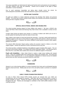Year group assemblies are held during the Spring and Summer terms and parents are encouraged to view their children's work after the assembly. Parents will be advised of the dates of these assemblies in school newsletters.

Due to covid restrictions Assemblies are taking place virtually across the school. No community/parent assemblies will be held until clearance is given by the Government.

#### **GIFTED AND TALENTED**

All pupils are entitled to a broad, balanced curriculum that develops their talents and personal qualities. The school also monitors closely all Able children and maintains and extends a professional working list that is regularly reviewed.



#### **SPECIAL EDUCATIONAL NEEDS AND DISABILITIES**

The school provides learning support for those children who require it. We have a SENCO who covers both Meon Infant School and Moorings Way Infant School. She is available to contact at most times.

At Meon Infant School we believe every teacher is a teacher of children with SEND and we aim to provide quality first teaching that meets the needs of every child.

Many children need support of some kind during their education. If we feel a child would benefit from additional support in any area our first priority is to get in contact with parents to discuss and ensure involvement throughout. If required, the school's SENDCO would become involved to offer support, guidance and advice.

The school's SEN Information Report (policy) outlines the provision made for children on the SEN support register. Parents are welcome to come in and discuss this at any time.

The school provides a detailed breakdown of all additional support including SEN support. This can be found on the school's website. It is entitled SEN School Information Report. This document has a link to the PCC Local Offer which outlines their services for additional support in Portsmouth.

**Pupils with disabilities –** Meon Infant School is mainly a single storey building with ramped access. There are 2 disabled toilets and a hearing loop is fitted in the reception area. The school and Governors will be advised by the L.A. on any proposal for adaptations to improve access for disabled persons plus any other necessary provisions should the need arise.



#### **HOMEWORK**

Seesaw is our on-line learning platform to access homework from home and to aid blended learning between school and home. Weekly tasks are set in KS1 and staff are able to comment on completed work.



#### **EARLY YEARS FOUNDATION PROFILE**

On entry to Meon Infant School EYFS transfer records are received from your child's pre school/nursery and are reviewed by teachers. Staff liaise with pre schools/nurseries to ensure a smooth transition to school. Parents are invited to discuss their child's progress at various times throughout the year. Parents are encouraged to contribute to their child's profile evidence in their Learning Journeys.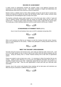#### **RECORD OF ACHIEVEMENT**

A child's record of achievement includes the progress made in the National Curriculum and assessment of work throughout the year. Topic books, examples of English and Mathematics are kept during the child's time at the school as a record of attainment.

Parents receive a detailed report of their child's progress during the second half of summer term. Parents are welcome to discuss this report with the teacher and/or make a written comment when sending back the acknowledgment slip for receipt of the report.

The teachers continually assess pupils' progress but in the school year when a child is 7 years old (Year 2) national Teacher Assessment tests are carried out normally during the first half of the summer term. Parents are given written information of these results, usually with the annual report. The results give a child's individual attainment and the overall results for all the year 2 children.



#### **STANDARDISED ATTAINMENT TESTS** (SATs)

Due to Covid 19 and lockdown there were not SATs undertaken during May 2021



#### **COOKING**

When covid restrictions are lifted we are hoping to re-start the Cooking Club after school. However, there is a cost implication for this activity. Children also participate in cooking activities linked to the topics in school.



#### **"MEET THE TEACHER" OPEN SESSIONS**

Normally during the Autumn and Summer terms, each week one afternoon after school (3.20 – 4.00 p.m.) is an open session for you to come to look at your child's work and discuss progress with the teacher. During the Spring Term a "Formal" Parents Evening will be held with an appointment system.

Parents are asked to come at least once a term. It is necessary to inform the teacher that you are coming. Details of which afternoon it is for the term and additional information will be given in a newsletter brought home by your child. Additionally, please feel you may come in at any time if you wish to discuss your child. There are also opportunities to share work with your child after class assemblies.

However, due to the current covid situation these meetings will not take place until restrictions are lifted and may be conducted in a different format in the future.

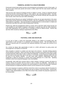#### **PARENTAL ACCESS TO A CHILD'S RECORDS**

Portsmouth schools keep careful records on the development and progress of each of their pupils. At the end of each school year parents will receive a written report from the class teacher about their child's progress.

There are two main reasons for keeping records on children in school. Firstly it is important that the school has the facts concerning the child e.g. name, address, age, parent/guardian details. Secondly, teachers need to record each child's progress so that they can provide continuity with new pupils and have records, which show how each child is developing.

Portsmouth School Records are marked 'Confidential', as they are not open documents in the sense that a pupil's records cannot be consulted by anyone. They are 'confidential' to the school and to the child's parents or guardians. They are important in enabling teachers to communicate in a helpful and constructive way about how well a child is progressing in learning.

Parents may, within the arrangements made by a school, ask to read their child's school records, but it will probably be most helpful if progress is discussed in a general way with the child's teacher(s), when fuller explanations can be given than it is possible to record on official records. Parents may see their child's records by making an appointment at the Office.



#### **PASTORAL CARE AND DISCIPLINE**

It is our aim to foster a caring and responsible attitude in the children by providing them with opportunities to work and play in a co-operative and considerate manner. This will enable them to grow up to become part of a community that responds positively to the needs and concerns of its members.

As a school we always take opportunities to build on a child's self-esteem by giving praise and encouragement in all aspects of school life.

When discipline is needed it is realistic and rules kept to the minimum. Normally forfeiting playtime may be all that is necessary. When more than one child is involved in an incident every effort is made to ensure that each child's point of view is valued and addressed. At all times we encourage honesty and the need to treat each other well so we have a "no hit back, honesty" behaviour policy (this can be found on the school's website). At such times when children's relationships have been problematic it might be necessary to monitor future group behaviour for a short time. Speaking unkindly to others and using bad language is also unacceptable.

Occasionally, when staff have concerns about a child's change in behaviour parents will always be invited to discuss the situation with the school in order to resolve any difficulties. Alternatively, we would like parents to bring to our attention any school problems or worries that have been mentioned at home because it is important that these concerns can be resolved as soon as possible.

If it is ever necessary to suspend a child from school this is done in accordance with the Procedure for Suspension of Pupils, a copy of which parents may see on request, in the school office. Parents have a right to make representations to the AAB of the school if they consider the proposed suspension to be unreasonable.

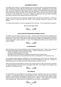#### **CHILDREN'S SAFETY**

The safety of the children is of great importance and no child may leave school during school hours unless collected by an adult, after first notifying either the class teacher, Headteacher or school office staff. The school should be notified when a child has a dental or other appointment during the school day. Parents are welcome to bring children into the playground. THE YELLOW ZIG-ZAGS AND LINES outside the school entrances are non parking zones. Anyone parking in these areas is liable to receive a fixed penalty fine. The area is regularly patrolled and we have traffic monitoring enforcement cameras in both Shelford Road and Crofton Road.

During covid restrictions we are operating a staggered entry and finish time programme. Parents are asked to 'queue' to bring their child into school. Clear markings indicate who queues in which direction.

A Crossing Patrol warden is on duty at appropriate times of the day. The crossing patrol is located at:

Meon Road/Crofton Road



#### **CHILD PROTECTION/SAFEGUARDING POLICY**

All children have the right to be safe from 'abuse'. At Meon Infant School we seek to safeguard and promote the welfare of all its pupils and to comply with the Protection Procedures guidance issued by Portsmouth L.A. and TSAT. In the interests of the well being of children the Headteacher may need to contact appropriate outside agencies. A copy of the Safeguarding Policy can be viewed on the school's website.



#### **CLOAKROOMS**

Each year group uses the same cloakroom area for hanging up their coats. There is not a great deal of space for the storage of about 60 children's items. It would be helpful if your child could:-

- practise hanging their coat correctly onto a hook.
- only bring a drawstring bag for P.E. items.
- if possible not use a back pack for bringing in their packed lunch box/book bag.
- after initial introduction to school parents allow child to be independent in the cloakroom area.

The Foundation Stage cloakroom especially is a very awkward area to get to and we, therefore, ask that parents of Year R children encourage them to go to the cloakroom on their own. Members of staff will already be in the cloakroom area to help the children with their coats etc.

Other year groups are quite adept at coming in and using the areas on their own and there should be no reason for parents to feel the need to accompany their child. They should be encouraged to say "goodbye" at the classroom door.

 $\mathcal{S}\rightarrow\mathcal{D}$ 

#### **VALUABLES**

No responsibility can be accepted for such articles as watches, bracelets, rings, toys, etc. brought in to school. It is advisable for these to be kept safely at home. We ask that if your child is to wear earrings at school they are small studs, for safety reasons. Again for safety reasons children will be asked to remove such items as watches and jewelry for P.E. lessons. A lost property box is situated in the reception area. Items which are not claimed by the end of term, are disposed of.

 $\begin{array}{c} \mathcal{A} \subsetneq \subsetneq \subset \mathcal{A} \subsetneq \mathcal{A} \subsetneq \mathcal{A} \subsetneq \mathcal{A} \subsetneq \mathcal{A} \end{array}$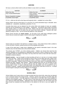#### **UNIFORM**

We have a school uniform which we like all children to wear which is as follows:

| WINTER                              | <b>SUMMER</b>                                                            |
|-------------------------------------|--------------------------------------------------------------------------|
| White Polo Shirt                    | White Polo Shirt                                                         |
| <b>Grey Trousers/Skirt/Pinafore</b> | Grey Trousers – short or long/Skirt/Pinafore/Red<br><b>Gingham Dress</b> |
| Maroon Sweatshirt/ Cardigan         | Maroon Sweatshirt/ Cardigan                                              |
| Grey/White Socks/Tights             | <b>Grey/White Socks</b>                                                  |

P.E. kit – white tee shirt with school logo and burgundy shorts – available from school office.

School uniform with the school logo on it in the form of a small embroidered logo is desirable. Items available are – sweatshirts, sweatcardis, poloshirts, P.E. kit.

Currently these items can be obtained from the school office and samples of sizes are available. However we are transitioning to a new supplier – Hargreaves - and parents will be able to purchase items directly online or in person from the "shop". Please note that once ordered items cannot be exchanged unless faulty so we advise that you check sizes before ordering. Payment with order please by cheque or cash – we do not have the facility for 'card' payments.

Please ensure all items are **clearly named**. On wet days if your child wears wellingtons please ensure they are named and supply a named clothes peg for clipping them together.



**MEALS**

School meals are provided in the hall from a container service. Every Infant School child is entitled to a Free Hot dinner, however, packed lunches are still acceptable (see below).

A copy of the meal menu 3 week rota is displayed on the parent's information board in the main entrance area, the hall window and on the school's website.

The schools uses "CYPAD", an on-line ordering system. Children can choose their meal from the selection displayed on the whiteboard at registration time and this is what is ordered for them. Water is provided to drink but children may bring a non fizzy drink from home to have with their meal (nonbreakable containers please.)

**Packed Lunches** – may be brought to school providing all food is in one box or tin clearly marked with name and class. Flasks may be brought as long as they are the safety type with a plastic inner i.e. "roughneck". No sweets may be brought into school. However, a wrapped chocolate biscuit for lunchtime is permitted. Children should not bring a fizzy drink, these cause a considerable problem if dropped and often "explode" when opened. Yoghurt tubes/pouches also are not permitted as they cause considerable problems not only for staff but also the children who tend to squeeze them causing quite a mess. A spoon (preferably plastic and disposable) must be provided for use at lunchtime if required. Children having packed lunch should bring it with them at 8.50 a.m. It should not be brought in during the morning unless it is an emergency.

 $\mathcal{R}$ C

#### **SCHOOL MILK**

School children over 5 years old are no longer provided with free school milk, unless they are deemed to be in physical need by the School Doctor. However, parents may choose to purchase daily milk from our current provider – Cool Milk (payment is made direct to Cool Milk). Milk is also available for children in the reception classes. This milk is free to 4 year olds and can be purchased from the date your child has his/her fifth birthday. Application forms will be provided in the new entries pack and these should be completed and returned direct to the address on the form or you can register "online".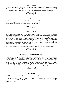#### **FRUIT SCHEME**

The school has joined the Government's Fruit Scheme, which has been set up in order to encourage children to eat fruit every day. This scheme has been operating successful for some time now and the children are given the opportunity to eat a variety of fruit/vegetables during morning playtime.



#### **WATER**

A water bottle is provided for each YR child. It is the responsibility of the parent to ensure this is taken home every evening and returned to school clean and with fresh water in every day. These are 'bottles for life'. Replacement lids, when available, cost 25p each .



#### **SCHOOL VISITS**

We undertake various school visits with all classes at different times of the year. These visits are an extension of classroom work. Teachers always make preliminary visits to make a risk assessment and to familiarise themselves with all details which are passed on to accompanying adults. When children are taken out of school for activities elsewhere i.e. educational visits, parents will normally be given details of the proposed arrangements in advance. When a child starts school parents will be asked to complete a form giving permission for their child to be taken out of school. On specific school trips parents are usually asked to complete another form relating to that trip. We ensure that any coaches/minibuses used are fitted with seatbelts.

Unfortunately due to covid restrictions school trips will not be taking place for the foreseeable future.



#### **CHARGES FOR SCHOOL ACTIVITIES**

The Governing Body's policy on charging for school visits is available in school. The 1988 Education Act allows schools to ask parents for contributions for visits and school activities. All such events will have educational value and the school tries to subsidize the outings. We ask for your support with these contributions. If the cost of such events is not met by these contributions it may mean the activity not going ahead as the school would not be able to undertake the full cost. A child would not be excluded from in schools hours' activity arranged as part of the expected curriculum if a contribution could not be fully paid. Payment can be made via our online payment app +pay.



#### **INSURANCE**

The Thinking Schools Academy Trust Indemnity/insurance policy is as follows:

School Activities Whilst pupils are at school or engaged in approved activities off the premises, they are covered by the TSAT public liability arrangements in respect of any negligent acts committed by employees or volunteers.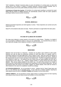TSAT maintains a 'blanket' insurance policy to cover all members of a school party on visits both abroad and in this country in respect of medical expenses, personal accident benefits, loss of personal property and money public liability [including member to member liability].

Conveyance in Private Hire Coaches All members of a school party travelling in a private hire coach being used for school or college purposes are automatically covered under the coach operator's passenger liability insurance [motor insurance].

 $\mathcal{R}\subseteq\mathscr{P}$ 

**SCHOOL MEDICALS**

Medical and Dental inspections are held regularly in school. These inspections are carried out by the Solent NHS Trust.

Nasal Flu immunisations take place annually. Parents' permission is sought before this takes place.



#### **IN CASE OF ILLNESS OR ACCIDENT**

We make every attempt to contact parents in the event of a child's illness. Therefore, it is helpful if you can provide an additional contact in case you are unobtainable. It is essential that you keep us up to date with changes of job, telephone numbers or family circumstances.



#### **MEDICINES**

Medicine must not be kept in a classroom. Teachers are not able to give medicine to their pupils. Medicine can only be given by authorised members of staff when there is a specific need i.e. prescribed medicine to be taken **four** times a day or before a meal. When the school first agrees to give a child medicine a consent form (from the school office) must be signed by the parent. Details of the requirements are put on a form and kept in the medical room. This form is signed and dated each time medicine is given out. All medicine sent into school must be clearly labelled and sent with a spoon/syringe for the child to use. Children needing inhalers in school should have them clearly labelled. They will be readily available for the child's use. An adult will be present if an inhaler is being used but a child should be encouraged to be responsible in its use without supervision. We ask that parents inform the school of any known "triggers" for asthma attacks. Most staff are trained to offer treatment in the case of an anaphlaxic reaction (nut allergy).

**LIP STICK/GLOSS/SALVE:** Are not permitted in school. Children tend to "share" these items and this is a very effective way of spreading germs. If your child has a medical condition requiring lip salve please ensure the item is **CLEARLY NAMED** and handed in at the school office.

**THROAT SWEETS:** Are not permitted in school. Again if there is a medical reason for them requiring them please ensure they are clearly named and handed in to the school office.

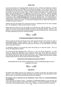#### **HEAD LICE**

As you are aware this is an ongoing problem across the country. Whilst every endeavour is made to eradicate this problem it is not possible to do so without your support. The nit comb is still one of the most effective non-chemical cures. There are also some new products on the market. Please ask in the chemist if you are not sure what is best. Children should not be made to feel "unclean" as nits prefer clean hair although we do not suggest you do not wash your child's hair. Special medicated lotions are effective although it is possible that excessive use may result in some lice becoming resistant. The lotions are available at chemists and also are obtainable on a doctor's prescription. It is essential to treat a **whole household** rather than just an individual child. You should repeat the treatment after 7 days to prevent re-infestation. It is extremely important to check your family's hair on a regular basis, at least once a week. It is essential to thoroughly comb out nits/lice after treatment so re-infection is kept to a minimum.

Children with long hair should have it tied back securely in a plait/pony tail and not have it hanging free. The Headteacher is willing to advise further on request.

Please inform the school as soon as possible if you discover your child has head lice. The only support we can give is to alert parents through the notice in the classroom window. However, if we discover a "live" lice, parents will be contacted to collect their child and treat their hair. Once your child has been treated they can return to school immediately.



#### **ATTENDANCE/ABSENCE FROM SCHOOL**

Please contact the school on the first day of your child's absence between 8.15 & 10.00 a.m. either in person/telephone/text. Medical evidence may be required in long term/repeated absences. Government regulations require that the school knows the reason for any child absent from school and a record has to be kept.

If a telephone call/text is not received the school will contact you to check the reason. This is to ensure the safeguarding of children.

Any child arriving after registration times (8.50 a.m. or 1.10 p.m.) will be marked late. If a child arrives 15 minutes after registration with no approved reason, they will be marked as having an unauthorised absence for that school session of the day. The number of absences and late arrivals your child has had will be noted on their school annual report. Children who have been vomiting should be kept at home for 48 hours after the sickness has stopped.

#### **Authorised and Unauthorised absence 2020-21**

Unfortunately due to the closure of school due to Covid 19 attendance figures are not available for this year.



#### **HOLIDAYS**

We believe that children need to be in school for ALL sessions so that they can make the most progress. We are committed to providing all children in the school with the best opportunities to help them succeed. Our views follow the Government and PCC guidelines.

#### *NO holidays will be authorised by the Headteacher unless there are exceptional/mitigating circumstances.*

If your child has 10 sessions (1 day  $= 2$  sessions) of unauthorised absence in any one year, the school will consider issuing a Fixed Penalty Notice Request. This will be forwarded to the Schools Court Officer who will decide whether to issue a fine. Holidays of a lesser period will be monitored.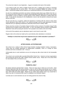The school term dates for next September – August is included at the back of this booklet.

If you intend to take your child on holiday during term time, a holiday form (LOAFs) is necessary which is obtainable from the school office. This must be completed **before** the holiday is to take place. Uninformed holidays will be treated as an unauthorised absence on the attendance records.

As part of our attendance procedure we receive monitoring reports about your children from the L.A. As a school we have to follow up on children whose attendance falls below 90% and it is the school's responsibility to send out letters to remind parents if their children's attendance is falling below this level. It may also be necessary for the Headteacher to ask to see the parents to discuss any issues parents may have.

We are sure that you, as parents, realise the importance of working with the school to keep whole school attendance above 96% (which is the national average) and we would appreciate an honest response from you regarding all absences, particularly those around "holiday" dates.

Please note that currently in Foundation Stage all children will be involved in Foundation Stage Profile during the first six weeks of their school career. In Year 2 all children will be involved in Standardised Attainment Tests (SATs) during the Summer Term (usually for two weeks at the end of May).

At the end of the academic year an attendance report is sent home for each child.

Regular visits to the school are made by the Local Authority when attendance is monitored.

**"Holidays in school time may be less expensive but your child's education is priceless"!!**



#### **AFTER SCHOOL ACTIVITIES/CARE**

The school runs a variety of After School Social Activities including Football, Cookery, Gymnastics. These clubs are variable depending on staff/providers availability. There is a charge for these activities and most run between 3.30 – 4.30 p.m.

Unfortunately due to covid restrictions we are not running any after school clubs for the foreseeable future.

The school is not currently able to provide Before/After School Care. However we have organizations who provide this service and "walk" children from/to another venue. Please ask in the school office for more details if this is of interest to you.

(C) D)

#### **PARENTAL HELP**

We always welcome parental help in school. There are many ways in which you can do this. Class teachers appreciate help with group activities in class as well as taking small groups out for cookery, extending reading skills and computer tasks. At other times parents might be asked to help on school trips, both locally and further afield. Please let your child's class teacher know if you would like to help in any way. An enhanced DBS check is completed on all volunteer helpers.

Currently due to covid restrictions we are not inviting parents into school to help.

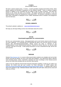#### **F.O.M.S.**

#### (**F**riends **O**f **M**eon **S**chool)

We have a parent support group - F.O.M.S. A small committee arranges fund-raising events, which greatly supports the purchase of equipment for the children's benefit. There is a group of support parents in addition to the Committee who are willing to help on these occasions. We hope new parents to the school will want to be involved. We always welcome new members. If you are interested please contact the Headteacher or the school office. All volunteers undertake an enhanced DBS check. Information is displayed on the "FOMS" Noticeboard which is located in the playground near the hall doors.

 $\mathbb{C}$  DA

#### **SCHOOL WEBSITE**

The school's website is address is: : [www.meoninfantschool.org.uk](http://www.meoninfantschool.org.uk/)

We hope you will enjoy finding out lots more information about the school.



#### **MY ED Downloaded application for communication**

My Ed is our communication service. Messages/emails can be sent from/to school via this link once you have registered. It is essential that you download this app as we use this service to contact parents with information/events/reminders. Please ensure you keep us informed of any changes/updates to your telephone/email address. Payments for events, trips etc. can also be made using the +pay part of the app. A letter giving instructions on how to download this app. will be sent out to parents.



#### **SEESAW**

Seesaw [\(http://seesaw.me\)](http://seesaw.me/), is a secure online journal where students can complete work set by their teacher and that the teacher can see it and mark/ give feedback. Your child will be able to add the work (including photos, videos, worksheets, drawings and voice recordings) to their Seesaw journal and we can share them privately with you and their class teacher.

Under an EU law called the General Data Protection Regulation (GDPR), in order for your child to use Seesaw, the school must get your consent. For more information on GDPR, please visit [https://ec.europa.eu/info/law/law-topic/data-protection/reform/rights-citizens.](https://ec.europa.eu/info/law/law-topic/data-protection/reform/rights-citizens) A separate letter will be sent out for parents to sign. Individual Seesaw codes will be set up for each child and the school will notify you of these.

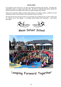#### **CONCLUSION**

The strength of the school lies in its open and friendly partnership with parents. Promoting this partnership results in a happy and secure child. We feel it is important that parents always feel welcome and know that support and/or advice is readily available when needed.

Above all we want the children at Meon Infant School to be happy, positive, confident and well motivated so their full time education has the greatest chance of success.

We hope this brochure has been useful to you and thank you for taking the time to read it. Please visit our "virtual" tour on the website. It is located under Parents and Community – New Parent Information.



**Meon Infant School** 



# Leaping Forward Together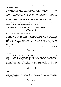#### **ADDITIONAL INFORMATION FOR ADMISSIONS**

#### **Looked After Children**

These are defined as children who are looked after by a local authority i.e. in their care or provided with accommodation by the authority for a continuous period of more than 24 hours.

Children who were previously looked after \*, but ceased to be so because they were adopted or subject to a residence or special guardianship order. A copy of the relevant court order will be required.

\*A child is considered as 'Looked After' as defined in section 22(1) of the Children Act 1989

A child is considered 'adopted' as defined in section 46 of the Adoption and Children Act 2002

Residence order – as defined in section 8 of the Children Act 1989

Special guardianship order – as defined in section 14 of the Children Act 1989



#### **Medical, physical, psychological or social need**

If a child or a family member has a significant medical, physical, psychological or social need that you would like taken into account when places are allocated, applicants should tick the relevant box on the application form and submit supporting evidence to support their request. The evidence must be in writing from a doctor or other appropriate professional involved with the child/family member's health, wellbeing or specific family circumstances. In all cases evidence must show why it is appropriate that the child attends the preferred school and why other schools in the City are inappropriate.

All applications received under this category are considered by a multi-disciplinary team of the local authority.



#### **Sibling Links**

A sibling is defined as a child's brother or sister (living in the same household) already on roll and attending the school you have applied to or at an adjacent infant/junior school and who will still be attending the school the following academic year. This category includes step-brothers/step-sisters; adoptive and foster brothers/sisters living in the same household or children whose parents are married or cohabiting and live together within the same household. This does not include siblings who live in a different household. Twins, triplets and other children of multiple birth will be admitted above the admission limit of a school if the limit has been reached by admitting one of the multiple birth children. A sibling link at the school does not guarantee admission to the school.



#### **Appeals**

If a parent is unsuccessful with any of their preferences they will have the right of appeal to an independent appeal panel and will be provided with the relevant documentation and advice by the LA's Admissions Team

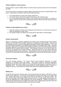#### **Children eligible for service premium**

Service premium is paid to eligible children of armed services personnel under S14 of the Education Act 2002.

The service premium is designed to support children with parents serving in the regular British armed forces. Pupils attract the premium if they meet the following criteria:

- one of their parents is serving in the regular armed forces
- one of their parents served in the regular armed forces in the last three years
- one of their parents died while serving in the armed forces and the pupil is in receipt of a pension under the Armed Forces Compensation Scheme (AFCS) and War Pensions Scheme (WPS)



#### **Children of staff employed at the school:**

- a. where the member of staff has been employed at the school for 2 or more years at the time at which the application is made, and or
- b. the member of staff is recruited to fill a vacant post for which there is a skill shortage.



#### **Distance measurement**

Where it is necessary to prioritise applications the criterion will be prioritised based on the shortest distance from the child's home to school, measured in a straight line 'as the crow flies'. Distances will be measured using the council's Geographical Information System (GIS) department. The Local Land and Property Gazeteer (LLPG) unique property reference co-ordinated will be used to represent the school, while home co-ordinates will be primarily derived from the LLPG, with Ordnances Survey's ADDRESS-POINT® product used as support. Only distances measured by GIS will be taken into account for the purposes of the distance criterion. Should there be two or more identical distances the prioritisation will be done by casting lots. The Admissions Team will arrange for this to be carried out by the LA's Democratic Services who are independent of the school and the admissions process.



#### **Fair Access Protocol**

The Local Authority operates a Fair Access Protocol which prioritises admissions for certain categories of secondary school age children. This protocol relates to admission applications throughout the year (but not the transfer of Year 6 pupils from primary/junior to secondary schools in September 2017). The protocol takes priority above the school's admission policy for those on a waiting list and the LA may require the school to admit above their published admission number.



#### **Waiting Lists**

All parents who have been refused a place at the school will have the option to indicate their wish to remain on the waiting list – via a tick box on the allocation response form online or on a paper reply slip. Children will be held on the waiting list by order of the criteria in the Admissions Policy. No account can be taken of the length of time a pupil is on the list. A pupil's position can change on the list as new applicants join or other applicants come off the waiting list. Children will remain on a waiting list only until the end of the academic year August 2022, if parents/carers want their child to be on the waiting list for the following academic year they must re-apply.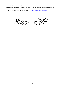#### **HOME TO SCHOOL TRANSPORT**

Parents are responsible for their child's attendance at school, whether or not transport is provided. The full Travel Assistance Policy can be found on [www.portsmouth.gov.uk/learning.](http://www.portsmouth.gov.uk/learning)